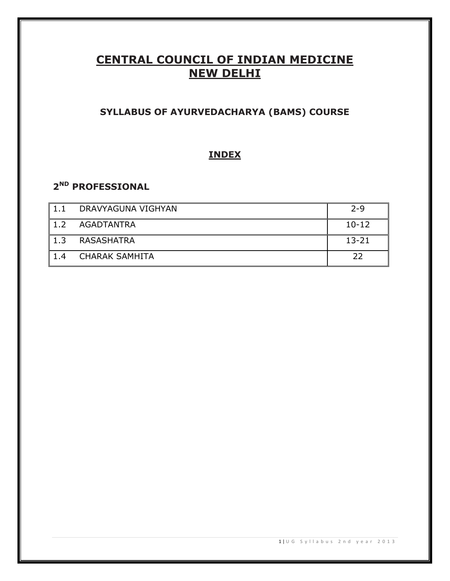# **CENTRAL COUNCIL OF INDIAN MEDICINE NEW DELHI**

# **SYLLABUS OF AYURVEDACHARYA (BAMS) COURSE**

# **INDEX**

# **2 ND PROFESSIONAL**

| 1.1 | DRAVYAGUNA VIGHYAN | $7 - 9$   |
|-----|--------------------|-----------|
|     | 1.2 AGADTANTRA     | $10-12$   |
| 1.3 | RASASHATRA         | $13 - 21$ |
| 1.4 | CHARAK SAMHITA     | フフ        |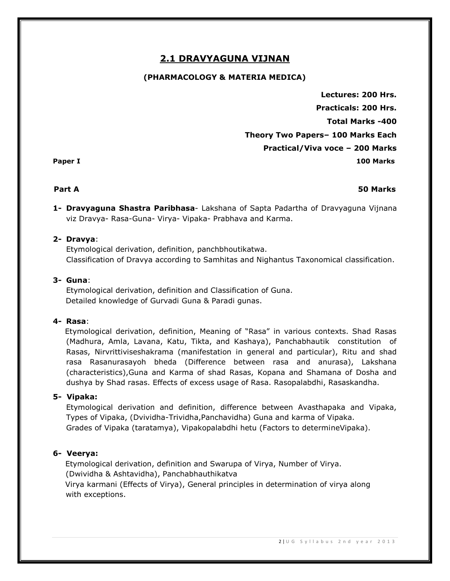# **2.1 DRAVYAGUNA VIJNAN**

# **(PHARMACOLOGY & MATERIA MEDICA)**

**Lectures: 200 Hrs. Practicals: 200 Hrs. Total Marks -400 Theory Two Papers– 100 Marks Each Practical/Viva voce – 200 Marks Paper I 100 Marks** 

### **Part A 50 Marks**

**1- Dravyaguna Shastra Paribhasa**- Lakshana of Sapta Padartha of Dravyaguna Vijnana viz Dravya- Rasa-Guna- Virya- Vipaka- Prabhava and Karma.

## **2- Dravya**:

Etymological derivation, definition, panchbhoutikatwa. Classification of Dravya according to Samhitas and Nighantus Taxonomical classification.

## **3- Guna**:

Etymological derivation, definition and Classification of Guna. Detailed knowledge of Gurvadi Guna & Paradi gunas.

### **4- Rasa**:

 Etymological derivation, definition, Meaning of "Rasa" in various contexts. Shad Rasas (Madhura, Amla, Lavana, Katu, Tikta, and Kashaya), Panchabhautik constitution of Rasas, Nirvrittiviseshakrama (manifestation in general and particular), Ritu and shad rasa Rasanurasayoh bheda (Difference between rasa and anurasa), Lakshana (characteristics),Guna and Karma of shad Rasas, Kopana and Shamana of Dosha and dushya by Shad rasas. Effects of excess usage of Rasa. Rasopalabdhi, Rasaskandha.

# **5- Vipaka:**

Etymological derivation and definition, difference between Avasthapaka and Vipaka, Types of Vipaka, (Dvividha-Trividha,Panchavidha) Guna and karma of Vipaka. Grades of Vipaka (taratamya), Vipakopalabdhi hetu (Factors to determineVipaka).

# **6- Veerya:**

Etymological derivation, definition and Swarupa of Virya, Number of Virya. (Dwividha & Ashtavidha), Panchabhauthikatva Virya karmani (Effects of Virya), General principles in determination of virya along with exceptions.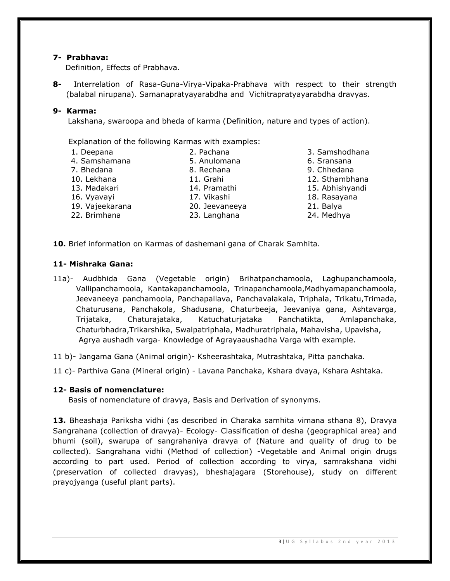### **7- Prabhava:**

Definition, Effects of Prabhava.

**8-** Interrelation of Rasa-Guna-Virya-Vipaka-Prabhava with respect to their strength (balabal nirupana). Samanapratyayarabdha and Vichitrapratyayarabdha dravyas.

#### **9- Karma:**

Lakshana, swaroopa and bheda of karma (Definition, nature and types of action).

Explanation of the following Karmas with examples:

- 1. Deepana 2. Pachana 3. Samshodhana 4. Samshamana 5. Anulomana 6. Sransana 7. Bhedana 8. Rechana 9. Chhedana 10. Lekhana 11. Grahi 12. Sthambhana 13. Madakari 14. Pramathi 15. Abhishyandi 16. Vyavayi 17. Vikashi 18. Rasayana 19. Vajeekarana 20. Jeevaneeya 21. Balya 22. Brimhana 23. Langhana 24. Medhya
	-
	-
	-
	-
	-
	-
	-
	-

**10.** Brief information on Karmas of dashemani gana of Charak Samhita.

### **11- Mishraka Gana:**

- 11a)- Audbhida Gana (Vegetable origin) Brihatpanchamoola, Laghupanchamoola, Vallipanchamoola, Kantakapanchamoola, Trinapanchamoola,Madhyamapanchamoola, Jeevaneeya panchamoola, Panchapallava, Panchavalakala, Triphala, Trikatu,Trimada, Chaturusana, Panchakola, Shadusana, Chaturbeeja, Jeevaniya gana, Ashtavarga, Trijataka, Chaturajataka, Katuchaturjataka Panchatikta, Amlapanchaka, Chaturbhadra,Trikarshika, Swalpatriphala, Madhuratriphala, Mahavisha, Upavisha, Agrya aushadh varga- Knowledge of Agrayaaushadha Varga with example.
- 11 b)- Jangama Gana (Animal origin)- Ksheerashtaka, Mutrashtaka, Pitta panchaka.
- 11 c)- Parthiva Gana (Mineral origin) Lavana Panchaka, Kshara dvaya, Kshara Ashtaka.

#### **12- Basis of nomenclature:**

Basis of nomenclature of dravya, Basis and Derivation of synonyms.

**13.** Bheashaja Pariksha vidhi (as described in Charaka samhita vimana sthana 8), Dravya Sangrahana (collection of dravya)- Ecology- Classification of desha (geographical area) and bhumi (soil), swarupa of sangrahaniya dravya of (Nature and quality of drug to be collected). Sangrahana vidhi (Method of collection) -Vegetable and Animal origin drugs according to part used. Period of collection according to virya, samrakshana vidhi (preservation of collected dravyas), bheshajagara (Storehouse), study on different prayojyanga (useful plant parts).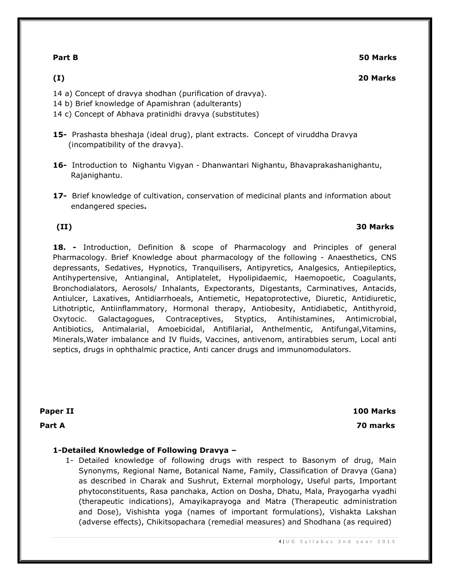**Part B 50 Marks**

### **(I) 20 Marks**

- 14 a) Concept of dravya shodhan (purification of dravya).
- 14 b) Brief knowledge of Apamishran (adulterants)
- 14 c) Concept of Abhava pratinidhi dravya (substitutes)
- **15-** Prashasta bheshaja (ideal drug), plant extracts. Concept of viruddha Dravya (incompatibility of the dravya).
- **16-** Introduction to Nighantu Vigyan Dhanwantari Nighantu, Bhavaprakashanighantu, Rajanighantu.
- **17-** Brief knowledge of cultivation, conservation of medicinal plants and information about endangered species**.**

# **(II) 30 Marks**

# **18. -** Introduction, Definition & scope of Pharmacology and Principles of general Pharmacology. Brief Knowledge about pharmacology of the following - Anaesthetics, CNS depressants, Sedatives, Hypnotics, Tranquilisers, Antipyretics, Analgesics, Antiepileptics, Antihypertensive, Antianginal, Antiplatelet, Hypolipidaemic, Haemopoetic, Coagulants, Bronchodialators, Aerosols/ Inhalants, Expectorants, Digestants, Carminatives, Antacids, Antiulcer, Laxatives, Antidiarrhoeals, Antiemetic, Hepatoprotective, Diuretic, Antidiuretic, Lithotriptic, Antiinflammatory, Hormonal therapy, Antiobesity, Antidiabetic, Antithyroid, Oxytocic. Galactagogues, Contraceptives, Styptics, Antihistamines, Antimicrobial, Antibiotics, Antimalarial, Amoebicidal, Antifilarial, Anthelmentic, Antifungal,Vitamins, Minerals,Water imbalance and IV fluids, Vaccines, antivenom, antirabbies serum, Local anti septics, drugs in ophthalmic practice, Anti cancer drugs and immunomodulators.

**Paper II 100 Marks Part A 70 marks**

# **1-Detailed Knowledge of Following Dravya –**

1- Detailed knowledge of following drugs with respect to Basonym of drug, Main Synonyms, Regional Name, Botanical Name, Family, Classification of Dravya (Gana) as described in Charak and Sushrut, External morphology, Useful parts, Important phytoconstituents, Rasa panchaka, Action on Dosha, Dhatu, Mala, Prayogarha vyadhi (therapeutic indications), Amayikaprayoga and Matra (Therapeutic administration and Dose), Vishishta yoga (names of important formulations), Vishakta Lakshan (adverse effects), Chikitsopachara (remedial measures) and Shodhana (as required)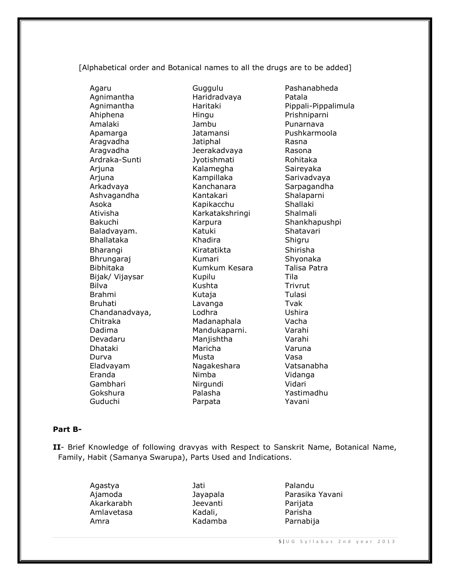[Alphabetical order and Botanical names to all the drugs are to be added]

Agaru Guggulu Pashanabheda

Agnimantha **Haridradvaya** Patala Ahiphena Hingu Prishniparni Amalaki Jambu Punarnava Apamarga Jatamansi Pushkarmoola Aragvadha Jatiphal Rasna Aragvadha Jeerakadvaya Rasona Ardraka-Sunti Jyotishmati Rohitaka Arjuna Kalamegha Saireyaka Arjuna Kampillaka Sarivadvaya Arkadvaya Kanchanara Sarpagandha Ashvagandha Kantakari Shalaparni Asoka Kapikacchu Shallaki Ativisha Karkatakshringi Shalmali Bakuchi Karpura Shankhapushpi Baladvayam. Katuki Shatavari Bhallataka Khadira Shigru Bharangi Kiratatikta Shirisha Bhrungaraj Kumari Shyonaka Bibhitaka Kumkum Kesara Talisa Patra Bijak/ Vijaysar Kupilu Tila Bilva Kushta Trivrut Brahmi Kutaja Kutaja Tulasi Bruhati Lavanga Tvak Chandanadvaya, Lodhra Lomman Ushira Chitraka Madanaphala Vacha Dadima Mandukaparni. Varahi Devadaru Manjishtha Varahi Dhataki Maricha Varuna Durva Musta Vasa Eladvayam Nagakeshara Vatsanabha Eranda Nimba Vidanga Gambhari Nirgundi Vidari Gokshura Palasha Yastimadhu Guduchi Parpata Yavani

Agnimantha Haritaki Pippali-Pippalimula

### **Part B-**

**II**- Brief Knowledge of following dravyas with Respect to Sanskrit Name, Botanical Name, Family, Habit (Samanya Swarupa), Parts Used and Indications.

> Agastya Jati Palandu Akarkarabh Jeevanti Parijata Amlavetasa Kadali, Parisha Amra Kadamba Parnabija

Ajamoda Jayapala Parasika Yavani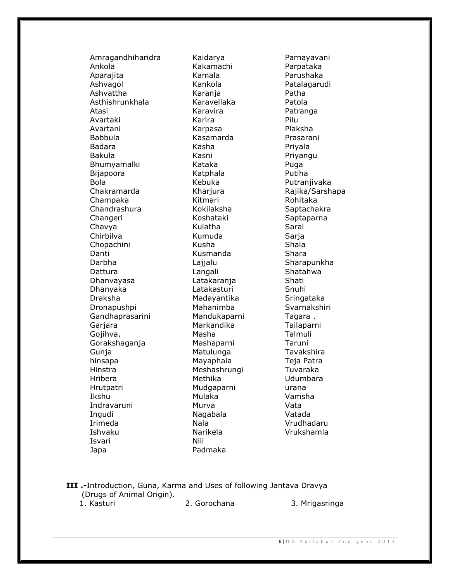Amragandhiharidra Kaidarya Parnayavani Ankola Kakamachi Parpataka Aparajita Kamala Parushaka Ashvagol Kankola Patalagarudi Ashvattha **Karanja** Karanja Patha Asthishrunkhala Karavellaka Patola Atasi Karavira Patranga Avartaki Karira Pilu Avartani Karpasa Plaksha Babbula **Kasamarda** Prasarani Badara Kasha Kasha Priyala Bakula Kasni Kasni Priyangu Bhumyamalki Kataka Puga Bijapoora Katphala Putiha Bola Kebuka Putranjivaka Chakramarda Kharjura Rajika/Sarshapa Champaka Kitmari Rohitaka Chandrashura Kokilaksha Saptachakra Changeri Koshataki Saptaparna Chavya Kulatha Saral Chirbilva Kumuda Sarja Chopachini Kusha Shala Danti Kusmanda Shara Darbha **Lajjalu** Lajjalu Sharapunkha Dattura **Langali** Langali Shatahwa Dhanvayasa Latakaranja Shati Dhanyaka **Latakasturi** Snuhi Draksha Madayantika Sringataka Dronapushpi Mahanimba Svarnakshiri Gandhaprasarini Mandukaparni Tagara . Garjara **Markandika** Tailaparni Gojihva, Masha Masha Talmuli Gorakshaganja Mashaparni Taruni Gunja **Matulunga** Tavakshira hinsapa **Mayaphala** Mayaphala Teja Patra Hinstra Meshashrungi Tuvaraka Hribera Methika Udumbara Hrutpatri Mudgaparni urana Ikshu Mulaka Vamsha Indravaruni Murva Vata Ingudi Nagabala Vatada Irimeda Nala Vrudhadaru Ishvaku Narikela Vrukshamla Isvari Nili Japa **Padmaka** 

#### **III .-**Introduction, Guna, Karma and Uses of following Jantava Dravya (Drugs of Animal Origin). 1. Kasturi 2. Gorochana 3. Mrigasringa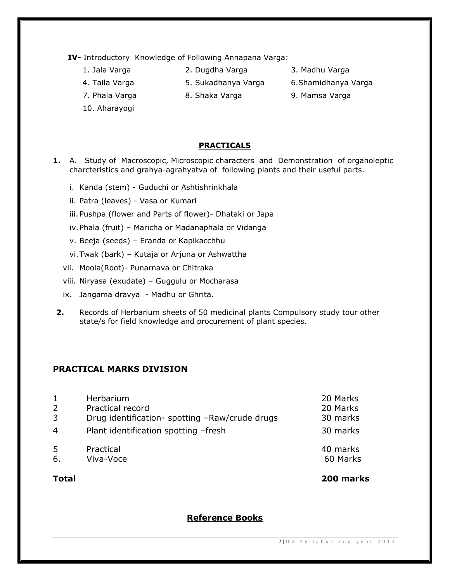**IV-** Introductory Knowledge of Following Annapana Varga:

- 
- 1. Jala Varga 2. Dugdha Varga 3. Madhu Varga
- 
- 
- 
- 
- 4. Taila Varga 5. Sukadhanya Varga 6.Shamidhanya Varga
- 7. Phala Varga 8. Shaka Varga 9. Mamsa Varga
- 10. Aharayogi

# **PRACTICALS**

- **1.** A. Study of Macroscopic, Microscopic characters and Demonstration of organoleptic charcteristics and grahya-agrahyatva of following plants and their useful parts.
	- i. Kanda (stem) Guduchi or Ashtishrinkhala
	- ii. Patra (leaves) Vasa or Kumari
	- iii.Pushpa (flower and Parts of flower)- Dhataki or Japa
	- iv.Phala (fruit) Maricha or Madanaphala or Vidanga
	- v. Beeja (seeds) Eranda or Kapikacchhu
	- vi.Twak (bark) Kutaja or Arjuna or Ashwattha
	- vii. Moola(Root)- Punarnava or Chitraka
	- viii. Niryasa (exudate) Guggulu or Mocharasa
	- ix. Jangama dravya Madhu or Ghrita.
- **2.** Records of Herbarium sheets of 50 medicinal plants Compulsory study tour other state/s for field knowledge and procurement of plant species.

# **PRACTICAL MARKS DIVISION**

|                | Herbarium                                      | 20 Marks             |
|----------------|------------------------------------------------|----------------------|
| 2              | Practical record                               | 20 Marks             |
| 3              | Drug identification- spotting -Raw/crude drugs | 30 marks             |
| $\overline{4}$ | Plant identification spotting -fresh           | 30 marks             |
| -5<br>6.       | Practical<br>Viva-Voce                         | 40 marks<br>60 Marks |

**Total 200 marks**

**Reference Books**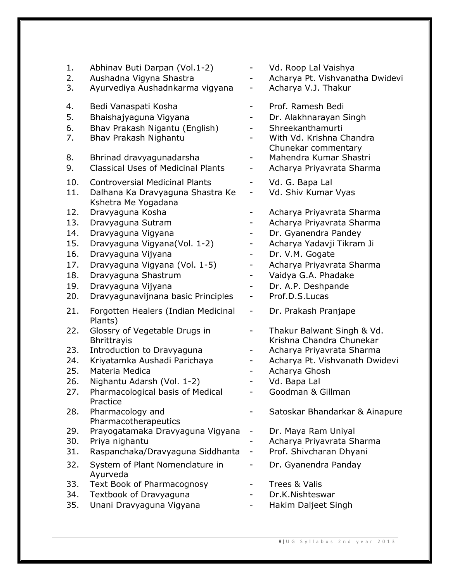| 1.<br>2.<br>3. | Abhinav Buti Darpan (Vol.1-2)<br>Aushadna Vigyna Shastra<br>Ayurvediya Aushadnkarma vigyana | $\overline{\phantom{0}}$<br>$\overline{\phantom{0}}$<br>- | Vd. Roop Lal Vaishya<br>Acharya Pt. Vishvanatha Dwidevi<br>Acharya V.J. Thakur |
|----------------|---------------------------------------------------------------------------------------------|-----------------------------------------------------------|--------------------------------------------------------------------------------|
| 4.             | Bedi Vanaspati Kosha                                                                        | -                                                         | Prof. Ramesh Bedi                                                              |
| 5.             | Bhaishajyaguna Vigyana                                                                      |                                                           | Dr. Alakhnarayan Singh                                                         |
| 6.             | Bhav Prakash Nigantu (English)                                                              | -                                                         | Shreekanthamurti                                                               |
| 7.             | Bhav Prakash Nighantu                                                                       | $\overline{\phantom{0}}$                                  | With Vd. Krishna Chandra                                                       |
|                |                                                                                             |                                                           | Chunekar commentary                                                            |
| 8.             | Bhrinad dravyagunadarsha                                                                    | -                                                         | Mahendra Kumar Shastri                                                         |
| 9.             | <b>Classical Uses of Medicinal Plants</b>                                                   | Ξ.                                                        | Acharya Priyavrata Sharma                                                      |
| 10.            | <b>Controversial Medicinal Plants</b>                                                       | $\overline{\phantom{0}}$                                  | Vd. G. Bapa Lal                                                                |
| 11.            | Dalhana Ka Dravyaguna Shastra Ke                                                            | $\overline{\phantom{0}}$                                  | Vd. Shiv Kumar Vyas                                                            |
|                | Kshetra Me Yogadana                                                                         |                                                           |                                                                                |
| 12.            | Dravyaguna Kosha                                                                            | -                                                         | Acharya Priyavrata Sharma                                                      |
| 13.            | Dravyaguna Sutram                                                                           | -                                                         | Acharya Priyavrata Sharma                                                      |
| 14.            | Dravyaguna Vigyana                                                                          | -                                                         | Dr. Gyanendra Pandey                                                           |
| 15.            | Dravyaguna Vigyana (Vol. 1-2)                                                               | -                                                         | Acharya Yadavji Tikram Ji                                                      |
| 16.            | Dravyaguna Vijyana                                                                          | -                                                         | Dr. V.M. Gogate                                                                |
| 17.            | Dravyaguna Vigyana (Vol. 1-5)                                                               | -                                                         | Acharya Priyavrata Sharma                                                      |
| 18.            | Dravyaguna Shastrum                                                                         | $\overline{\phantom{0}}$                                  | Vaidya G.A. Phadake                                                            |
| 19.<br>20.     | Dravyaguna Vijyana<br>Dravyagunavijnana basic Principles                                    | -                                                         | Dr. A.P. Deshpande<br>Prof.D.S.Lucas                                           |
|                |                                                                                             | $\overline{\phantom{0}}$                                  |                                                                                |
| 21.            | Forgotten Healers (Indian Medicinal<br>Plants)                                              | -                                                         | Dr. Prakash Pranjape                                                           |
| 22.            | Glossry of Vegetable Drugs in                                                               | -                                                         | Thakur Balwant Singh & Vd.                                                     |
|                | <b>Bhrittrayis</b>                                                                          |                                                           | Krishna Chandra Chunekar                                                       |
| 23.            | Introduction to Dravyaguna                                                                  | -                                                         | Acharya Priyavrata Sharma                                                      |
| 24.            | Kriyatamka Aushadi Parichaya                                                                | -                                                         | Acharya Pt. Vishvanath Dwidevi                                                 |
| 25.            | Materia Medica                                                                              | -                                                         | Acharya Ghosh                                                                  |
| 26.            | Nighantu Adarsh (Vol. 1-2)                                                                  | -                                                         | Vd. Bapa Lal                                                                   |
| 27.            | Pharmacological basis of Medical<br>Practice                                                |                                                           | Goodman & Gillman                                                              |
| 28.            | Pharmacology and<br>Pharmacotherapeutics                                                    |                                                           | Satoskar Bhandarkar & Ainapure                                                 |
| 29.            | Prayogatamaka Dravyaguna Vigyana                                                            | -                                                         | Dr. Maya Ram Uniyal                                                            |
| 30.            | Priya nighantu                                                                              |                                                           | Acharya Priyavrata Sharma                                                      |
| 31.            | Raspanchaka/Dravyaguna Siddhanta                                                            | -                                                         | Prof. Shivcharan Dhyani                                                        |
| 32.            | System of Plant Nomenclature in<br>Ayurveda                                                 | -                                                         | Dr. Gyanendra Panday                                                           |
| 33.            | <b>Text Book of Pharmacognosy</b>                                                           |                                                           | Trees & Valis                                                                  |
| 34.            | Textbook of Dravyaguna                                                                      |                                                           | Dr.K.Nishteswar                                                                |
| 35.            | Unani Dravyaguna Vigyana                                                                    |                                                           | Hakim Daljeet Singh                                                            |
|                |                                                                                             |                                                           |                                                                                |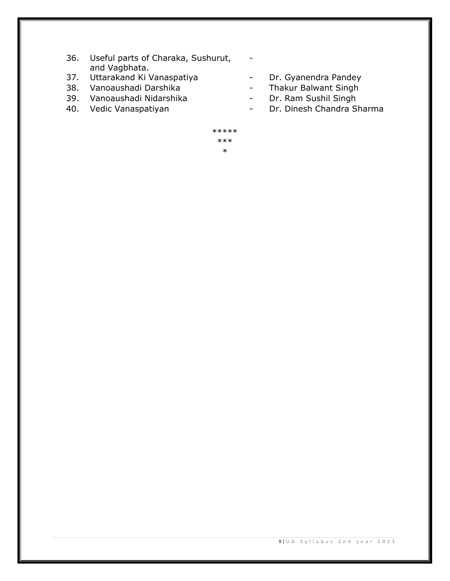- 36. Useful parts of Charaka, Sushurut, and Vagbhata.
- 37. Uttarakand Ki Vanaspatiya Dr. Gyanendra Pandey
- 
- 39. Vanoaushadi Nidarshika Dr. Ram Sushil Singh
- 
- 
- 38. Vanoaushadi Darshika Thakur Balwant Singh
	-
- 40. Vedic Vanaspatiyan **Manusian Sharma** Dr. Dinesh Chandra Sharma
	- \*\*\*\*\* \*\*\* \*

-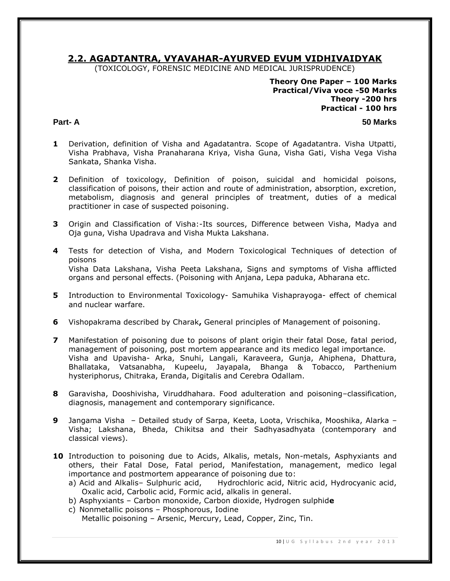# **2.2. AGADTANTRA, VYAVAHAR-AYURVED EVUM VIDHIVAIDYAK**

(TOXICOLOGY, FORENSIC MEDICINE AND MEDICAL JURISPRUDENCE)

**Theory One Paper – 100 Marks Practical/Viva voce -50 Marks Theory -200 hrs Practical - 100 hrs** 

#### **Part- A 50 Marks**

- **1** Derivation, definition of Visha and Agadatantra. Scope of Agadatantra. Visha Utpatti, Visha Prabhava, Visha Pranaharana Kriya, Visha Guna, Visha Gati, Visha Vega Visha Sankata, Shanka Visha.
- **2** Definition of toxicology, Definition of poison, suicidal and homicidal poisons, classification of poisons, their action and route of administration, absorption, excretion, metabolism, diagnosis and general principles of treatment, duties of a medical practitioner in case of suspected poisoning.
- **3** Origin and Classification of Visha:-Its sources, Difference between Visha, Madya and Oja guna, Visha Upadrava and Visha Mukta Lakshana.
- **4** Tests for detection of Visha, and Modern Toxicological Techniques of detection of poisons Visha Data Lakshana, Visha Peeta Lakshana, Signs and symptoms of Visha afflicted organs and personal effects. (Poisoning with Anjana, Lepa paduka, Abharana etc.
- **5** Introduction to Environmental Toxicology- Samuhika Vishaprayoga- effect of chemical and nuclear warfare.
- **6** Vishopakrama described by Charak**,** General principles of Management of poisoning.
- **7** Manifestation of poisoning due to poisons of plant origin their fatal Dose, fatal period, management of poisoning, post mortem appearance and its medico legal importance. Visha and Upavisha- Arka, Snuhi, Langali, Karaveera, Gunja, Ahiphena, Dhattura, Bhallataka, Vatsanabha, Kupeelu, Jayapala, Bhanga & Tobacco, Parthenium hysteriphorus, Chitraka, Eranda, Digitalis and Cerebra Odallam.
- **8** Garavisha, Dooshivisha, Viruddhahara. Food adulteration and poisoning–classification, diagnosis, management and contemporary significance.
- **9** Jangama Visha Detailed study of Sarpa, Keeta, Loota, Vrischika, Mooshika, Alarka Visha; Lakshana, Bheda, Chikitsa and their Sadhyasadhyata (contemporary and classical views).
- 10 Introduction to poisoning due to Acids, Alkalis, metals, Non-metals, Asphyxiants and others, their Fatal Dose, Fatal period, Manifestation, management, medico legal importance and postmortem appearance of poisoning due to:
	- a) Acid and Alkalis– Sulphuric acid, Hydrochloric acid, Nitric acid, Hydrocyanic acid, Oxalic acid, Carbolic acid, Formic acid, alkalis in general.
	- b) Asphyxiants Carbon monoxide, Carbon dioxide, Hydrogen sulphid**e**
	- c) Nonmetallic poisons Phosphorous, Iodine Metallic poisoning – Arsenic, Mercury, Lead, Copper, Zinc, Tin.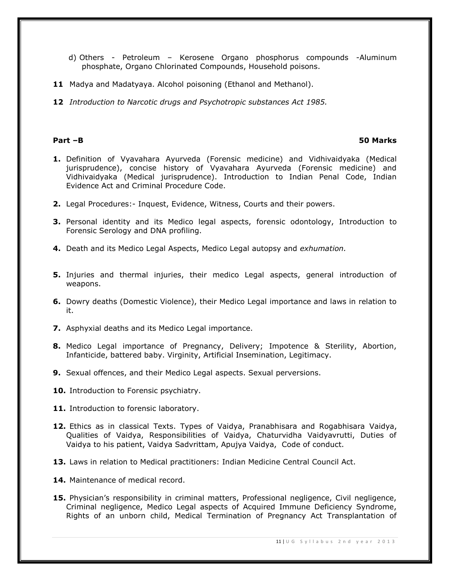- d) Others Petroleum Kerosene Organo phosphorus compounds -Aluminum phosphate, Organo Chlorinated Compounds, Household poisons.
- 11 Madya and Madatyaya. Alcohol poisoning (Ethanol and Methanol).
- **12** *Introduction to Narcotic drugs and Psychotropic substances Act 1985.*

#### **Part –B 50 Marks**

- **1.** Definition of Vyavahara Ayurveda (Forensic medicine) and Vidhivaidyaka (Medical jurisprudence), concise history of Vyavahara Ayurveda (Forensic medicine) and Vidhivaidyaka (Medical jurisprudence). Introduction to Indian Penal Code, Indian Evidence Act and Criminal Procedure Code.
- **2.** Legal Procedures:- Inquest, Evidence, Witness, Courts and their powers.
- **3.** Personal identity and its Medico legal aspects, forensic odontology, Introduction to Forensic Serology and DNA profiling.
- **4.** Death and its Medico Legal Aspects, Medico Legal autopsy and *exhumation.*
- **5.** Injuries and thermal injuries, their medico Legal aspects, general introduction of weapons.
- **6.** Dowry deaths (Domestic Violence), their Medico Legal importance and laws in relation to it.
- **7.** Asphyxial deaths and its Medico Legal importance.
- **8.** Medico Legal importance of Pregnancy, Delivery; Impotence & Sterility, Abortion, Infanticide, battered baby. Virginity, Artificial Insemination, Legitimacy.
- **9.** Sexual offences, and their Medico Legal aspects. Sexual perversions.
- **10.** Introduction to Forensic psychiatry.
- 11. Introduction to forensic laboratory.
- **12.** Ethics as in classical Texts. Types of Vaidya, Pranabhisara and Rogabhisara Vaidya, Qualities of Vaidya, Responsibilities of Vaidya, Chaturvidha Vaidyavrutti, Duties of Vaidya to his patient, Vaidya Sadvrittam, Apujya Vaidya, Code of conduct.
- **13.** Laws in relation to Medical practitioners: Indian Medicine Central Council Act.
- 14. Maintenance of medical record.
- **15.** Physician's responsibility in criminal matters, Professional negligence, Civil negligence, Criminal negligence, Medico Legal aspects of Acquired Immune Deficiency Syndrome, Rights of an unborn child, Medical Termination of Pregnancy Act Transplantation of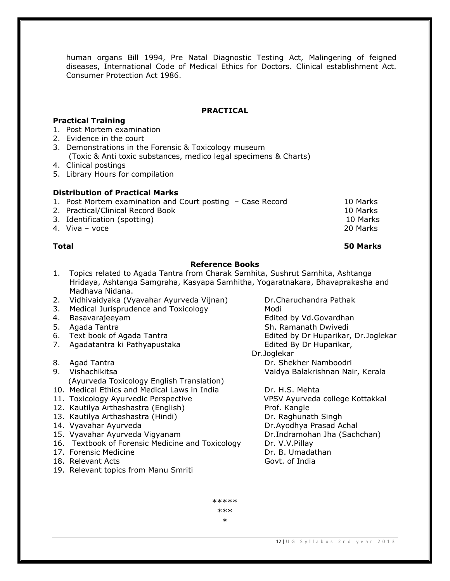human organs Bill 1994, Pre Natal Diagnostic Testing Act, Malingering of feigned diseases, International Code of Medical Ethics for Doctors. Clinical establishment Act. Consumer Protection Act 1986.

### **PRACTICAL**

### **Practical Training**

- 1. Post Mortem examination
- 2. Evidence in the court
- 3. Demonstrations in the Forensic & Toxicology museum (Toxic & Anti toxic substances, medico legal specimens & Charts)
- 4. Clinical postings
- 5. Library Hours for compilation

#### **Distribution of Practical Marks**

| 1. Post Mortem examination and Court posting - Case Record | 10 Marks |
|------------------------------------------------------------|----------|
| 2. Practical/Clinical Record Book                          | 10 Marks |
| 3. Identification (spotting)                               | 10 Marks |
| 4. Viva – voce                                             | 20 Marks |

### **Total 50 Marks**

## **Reference Books**

- 1. Topics related to Agada Tantra from Charak Samhita, Sushrut Samhita, Ashtanga Hridaya, Ashtanga Samgraha, Kasyapa Samhitha, Yogaratnakara, Bhavaprakasha and Madhava Nidana.
- 2. Vidhivaidyaka (Vyavahar Ayurveda Vijnan) Dr.Charuchandra Pathak
- 3. Medical Jurisprudence and Toxicology Modi
- 
- 
- 
- 7. Agadatantra ki Pathyapustaka **Edited By Dr Huparikar**,
- 8. Agad Tantra **Dr. Shekher Namboodri**
- 9. Vishachikitsa Vaidya Balakrishnan Nair, Kerala (Ayurveda Toxicology English Translation)
- 10. Medical Ethics and Medical Laws in India Dr. H.S. Mehta
- 11. Toxicology Ayurvedic Perspective VPSV Ayurveda college Kottakkal
- 12. Kautilya Arthashastra (English) Prof. Kangle
- 13. Kautilya Arthashastra (Hindi) Dr. Raghunath Singh
- 
- 15. Vyavahar Ayurveda Vigyanam Dr.Indramohan Jha (Sachchan)
- 16. Textbook of Forensic Medicine and Toxicology Dr. V.V.Pillay
- 
- 18. Relevant Acts **Government Communist Contracts** Govt. of India
- 19. Relevant topics from Manu Smriti

4. Basavarajeeyam extraordise by Vd.Govardhan 5. Agada Tantra Sh. Ramanath Dwivedi 6. Text book of Agada Tantra Edited by Dr Huparikar, Dr.Joglekar Dr.Joglekar

14. Vyavahar Ayurveda Dr.Ayodhya Prasad Achal 17. Forensic Medicine Dr. B. Umadathan

> \*\*\*\*\* \*\*\*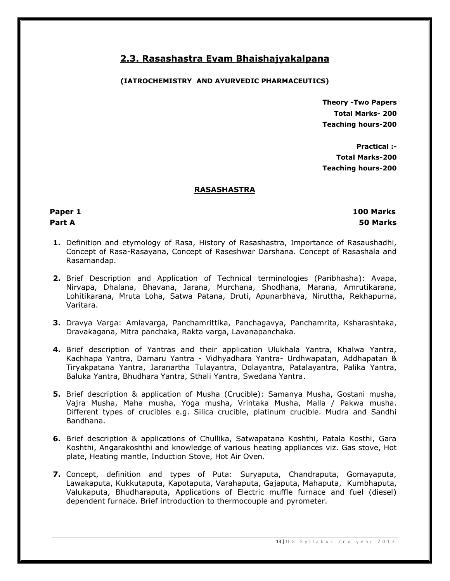# **2.3. Rasashastra Evam Bhaishajyakalpana**

# **(IATROCHEMISTRY AND AYURVEDIC PHARMACEUTICS)**

**Theory -Two Papers Total Marks- 200 Teaching hours-200**

 **Practical :- Total Marks-200 Teaching hours-200**

# **RASASHASTRA**

 **Paper 1 100 Marks Part A 50 Marks** 

- **1.** Definition and etymology of Rasa, History of Rasashastra, Importance of Rasaushadhi, Concept of Rasa-Rasayana, Concept of Raseshwar Darshana. Concept of Rasashala and Rasamandap.
- **2.** Brief Description and Application of Technical terminologies (Paribhasha): Avapa, Nirvapa, Dhalana, Bhavana, Jarana, Murchana, Shodhana, Marana, Amrutikarana, Lohitikarana, Mruta Loha, Satwa Patana, Druti, Apunarbhava, Niruttha, Rekhapurna, Varitara.
- **3.** Dravya Varga: Amlavarga, Panchamrittika, Panchagavya, Panchamrita, Ksharashtaka, Dravakagana, Mitra panchaka, Rakta varga, Lavanapanchaka.
- **4.** Brief description of Yantras and their application Ulukhala Yantra, Khalwa Yantra, Kachhapa Yantra, Damaru Yantra - Vidhyadhara Yantra- Urdhwapatan, Addhapatan & Tiryakpatana Yantra, Jaranartha Tulayantra, Dolayantra, Patalayantra, Palika Yantra, Baluka Yantra, Bhudhara Yantra, Sthali Yantra, Swedana Yantra.
- **5.** Brief description & application of Musha (Crucible): Samanya Musha, Gostani musha, Vajra Musha, Maha musha, Yoga musha, Vrintaka Musha, Malla / Pakwa musha. Different types of crucibles e.g. Silica crucible, platinum crucible. Mudra and Sandhi Bandhana.
- **6.** Brief description & applications of Chullika, Satwapatana Koshthi, Patala Kosthi, Gara Koshthi, Angarakoshthi and knowledge of various heating appliances viz. Gas stove, Hot plate, Heating mantle, Induction Stove, Hot Air Oven.
- **7.** Concept, definition and types of Puta: Suryaputa, Chandraputa, Gomayaputa, Lawakaputa, Kukkutaputa, Kapotaputa, Varahaputa, Gajaputa, Mahaputa, Kumbhaputa, Valukaputa, Bhudharaputa, Applications of Electric muffle furnace and fuel (diesel) dependent furnace. Brief introduction to thermocouple and pyrometer.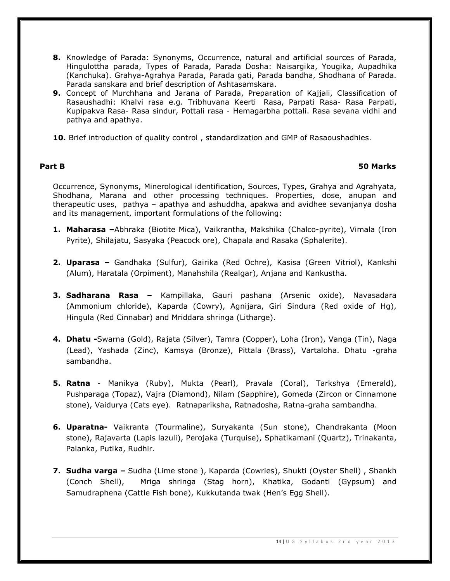- **8.** Knowledge of Parada: Synonyms, Occurrence, natural and artificial sources of Parada, Hingulottha parada, Types of Parada, Parada Dosha: Naisargika, Yougika, Aupadhika (Kanchuka). Grahya-Agrahya Parada, Parada gati, Parada bandha, Shodhana of Parada. Parada sanskara and brief description of Ashtasamskara.
- **9.** Concept of Murchhana and Jarana of Parada, Preparation of Kajjali, Classification of Rasaushadhi: Khalvi rasa e.g. Tribhuvana Keerti Rasa, Parpati Rasa- Rasa Parpati, Kupipakva Rasa- Rasa sindur, Pottali rasa - Hemagarbha pottali. Rasa sevana vidhi and pathya and apathya.
- **10.** Brief introduction of quality control , standardization and GMP of Rasaoushadhies.

## **Part B 50 Marks**

Occurrence, Synonyms, Minerological identification, Sources, Types, Grahya and Agrahyata, Shodhana, Marana and other processing techniques. Properties, dose, anupan and therapeutic uses, pathya – apathya and ashuddha, apakwa and avidhee sevanjanya dosha and its management, important formulations of the following:

- **1. Maharasa –**Abhraka (Biotite Mica), Vaikrantha, Makshika (Chalco-pyrite), Vimala (Iron Pyrite), Shilajatu, Sasyaka (Peacock ore), Chapala and Rasaka (Sphalerite).
- **2. Uparasa –** Gandhaka (Sulfur), Gairika (Red Ochre), Kasisa (Green Vitriol), Kankshi (Alum), Haratala (Orpiment), Manahshila (Realgar), Anjana and Kankustha.
- **3. Sadharana Rasa –** Kampillaka, Gauri pashana (Arsenic oxide), Navasadara (Ammonium chloride), Kaparda (Cowry), Agnijara, Giri Sindura (Red oxide of Hg), Hingula (Red Cinnabar) and Mriddara shringa (Litharge).
- **4. Dhatu -**Swarna (Gold), Rajata (Silver), Tamra (Copper), Loha (Iron), Vanga (Tin), Naga (Lead), Yashada (Zinc), Kamsya (Bronze), Pittala (Brass), Vartaloha. Dhatu -graha sambandha.
- **5. Ratna**  Manikya (Ruby), Mukta (Pearl), Pravala (Coral), Tarkshya (Emerald), Pushparaga (Topaz), Vajra (Diamond), Nilam (Sapphire), Gomeda (Zircon or Cinnamone stone), Vaidurya (Cats eye). Ratnapariksha, Ratnadosha, Ratna-graha sambandha.
- **6. Uparatna-** Vaikranta (Tourmaline), Suryakanta (Sun stone), Chandrakanta (Moon stone), Rajavarta (Lapis lazuli), Perojaka (Turquise), Sphatikamani (Quartz), Trinakanta, Palanka, Putika, Rudhir.
- **7. Sudha varga –** Sudha (Lime stone ), Kaparda (Cowries), Shukti (Oyster Shell) , Shankh (Conch Shell), Mriga shringa (Stag horn), Khatika, Godanti (Gypsum) and Samudraphena (Cattle Fish bone), Kukkutanda twak (Hen's Egg Shell).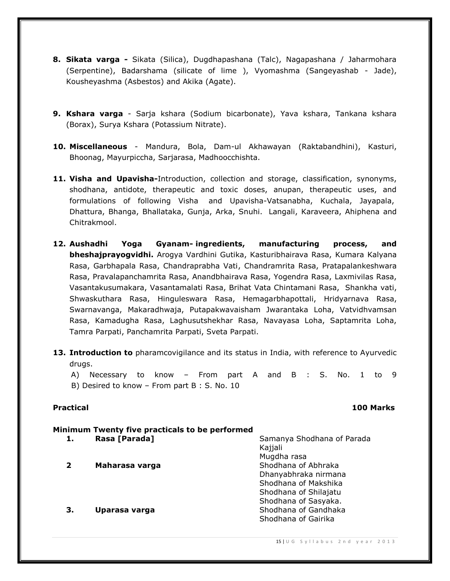- **8. Sikata varga -** Sikata (Silica), Dugdhapashana (Talc), Nagapashana / Jaharmohara (Serpentine), Badarshama (silicate of lime ), Vyomashma (Sangeyashab - Jade), Kousheyashma (Asbestos) and Akika (Agate).
- **9. Kshara varga**  Sarja kshara (Sodium bicarbonate), Yava kshara, Tankana kshara (Borax), Surya Kshara (Potassium Nitrate).
- **10. Miscellaneous** Mandura, Bola, Dam-ul Akhawayan (Raktabandhini), Kasturi, Bhoonag, Mayurpiccha, Sarjarasa, Madhoocchishta.
- **11. Visha and Upavisha-**Introduction, collection and storage, classification, synonyms, shodhana, antidote, therapeutic and toxic doses, anupan, therapeutic uses, and formulations of following Visha and Upavisha-Vatsanabha, Kuchala, Jayapala, Dhattura, Bhanga, Bhallataka, Gunja, Arka, Snuhi. Langali, Karaveera, Ahiphena and Chitrakmool.
- **12. Aushadhi Yoga Gyanam- ingredients, manufacturing process, and bheshajprayogvidhi.** Arogya Vardhini Gutika, Kasturibhairava Rasa, Kumara Kalyana Rasa, Garbhapala Rasa, Chandraprabha Vati, Chandramrita Rasa, Pratapalankeshwara Rasa, Pravalapanchamrita Rasa, Anandbhairava Rasa, Yogendra Rasa, Laxmivilas Rasa, Vasantakusumakara, Vasantamalati Rasa, Brihat Vata Chintamani Rasa, Shankha vati, Shwaskuthara Rasa, Hinguleswara Rasa, Hemagarbhapottali, Hridyarnava Rasa, Swarnavanga, Makaradhwaja, Putapakwavaisham Jwarantaka Loha, Vatvidhvamsan Rasa, Kamadugha Rasa, Laghusutshekhar Rasa, Navayasa Loha, Saptamrita Loha, Tamra Parpati, Panchamrita Parpati, Sveta Parpati.
- **13. Introduction to** pharamcovigilance and its status in India, with reference to Ayurvedic drugs.
	- A) Necessary to know From part A and B : S. No. 1 to 9 B) Desired to know – From part B : S. No. 10

#### **Practical 100 Marks**

### **Minimum Twenty five practicals to be performed**

|    | Rasa [Parada]  | Samanya Shodhana of Parada<br>Kajjali |
|----|----------------|---------------------------------------|
|    |                | Mugdha rasa                           |
| 2  | Maharasa varga | Shodhana of Abhraka                   |
|    |                | Dhanyabhraka nirmana                  |
|    |                | Shodhana of Makshika                  |
|    |                | Shodhana of Shilajatu                 |
|    |                | Shodhana of Sasyaka.                  |
| З. | Uparasa varga  | Shodhana of Gandhaka                  |
|    |                | Shodhana of Gairika                   |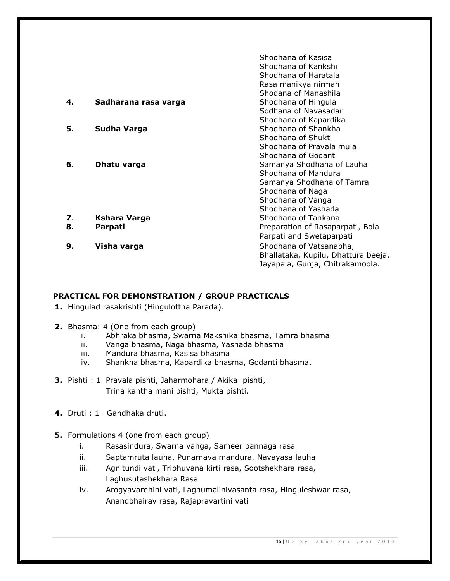|    |                      | Shodhana of Kasisa                  |
|----|----------------------|-------------------------------------|
|    |                      | Shodhana of Kankshi                 |
|    |                      | Shodhana of Haratala                |
|    |                      | Rasa manikya nirman                 |
|    |                      | Shodana of Manashila                |
| 4. | Sadharana rasa varga | Shodhana of Hingula                 |
|    |                      | Sodhana of Navasadar                |
|    |                      | Shodhana of Kapardika               |
| 5. | Sudha Varga          | Shodhana of Shankha                 |
|    |                      | Shodhana of Shukti                  |
|    |                      | Shodhana of Pravala mula            |
|    |                      | Shodhana of Godanti                 |
| 6. | Dhatu varga          | Samanya Shodhana of Lauha           |
|    |                      | Shodhana of Mandura                 |
|    |                      | Samanya Shodhana of Tamra           |
|    |                      | Shodhana of Naga                    |
|    |                      | Shodhana of Vanga                   |
|    |                      | Shodhana of Yashada                 |
| 7. | <b>Kshara Varga</b>  | Shodhana of Tankana                 |
| 8. | Parpati              | Preparation of Rasaparpati, Bola    |
|    |                      | Parpati and Swetaparpati            |
| 9. | Visha varga          | Shodhana of Vatsanabha,             |
|    |                      | Bhallataka, Kupilu, Dhattura beeja, |
|    |                      | Jayapala, Gunja, Chitrakamoola.     |

### **PRACTICAL FOR DEMONSTRATION / GROUP PRACTICALS**

- **1.** Hingulad rasakrishti (Hingulottha Parada).
- **2.** Bhasma: 4 (One from each group)
	- i. Abhraka bhasma, Swarna Makshika bhasma, Tamra bhasma
	- ii. Vanga bhasma, Naga bhasma, Yashada bhasma
	- iii. Mandura bhasma, Kasisa bhasma
	- iv. Shankha bhasma, Kapardika bhasma, Godanti bhasma.
- **3.** Pishti : 1 Pravala pishti, Jaharmohara / Akika pishti, Trina kantha mani pishti, Mukta pishti.
- **4.** Druti : 1Gandhaka druti.
- **5.** Formulations 4 (one from each group)
	- i. Rasasindura, Swarna vanga, Sameer pannaga rasa
	- ii. Saptamruta lauha, Punarnava mandura, Navayasa lauha
	- iii. Agnitundi vati, Tribhuvana kirti rasa, Sootshekhara rasa, Laghusutashekhara Rasa
	- iv. Arogyavardhini vati, Laghumalinivasanta rasa, Hinguleshwar rasa, Anandbhairav rasa, Rajapravartini vati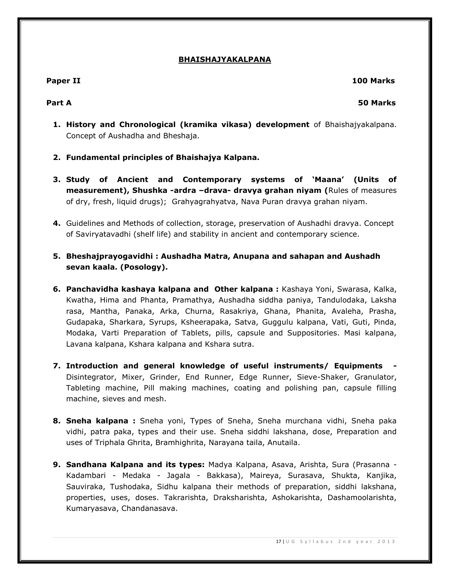#### **BHAISHAJYAKALPANA**

# **Paper II 100 Marks**

### **Part A 50 Marks**

- **1. History and Chronological (kramika vikasa) development** of Bhaishajyakalpana. Concept of Aushadha and Bheshaja.
- **2. Fundamental principles of Bhaishajya Kalpana.**
- **3. Study of Ancient and Contemporary systems of 'Maana' (Units of measurement), Shushka -ardra –drava- dravya grahan niyam (**Rules of measures of dry, fresh, liquid drugs); Grahyagrahyatva, Nava Puran dravya grahan niyam.
- **4.** Guidelines and Methods of collection, storage, preservation of Aushadhi dravya. Concept of Saviryatavadhi (shelf life) and stability in ancient and contemporary science.
- **5. Bheshajprayogavidhi : Aushadha Matra, Anupana and sahapan and Aushadh sevan kaala. (Posology).**
- **6. Panchavidha kashaya kalpana and Other kalpana :** Kashaya Yoni, Swarasa, Kalka, Kwatha, Hima and Phanta, Pramathya, Aushadha siddha paniya, Tandulodaka, Laksha rasa, Mantha, Panaka, Arka, Churna, Rasakriya, Ghana, Phanita, Avaleha, Prasha, Gudapaka, Sharkara, Syrups, Ksheerapaka, Satva, Guggulu kalpana, Vati, Guti, Pinda, Modaka, Varti Preparation of Tablets, pills, capsule and Suppositories. Masi kalpana, Lavana kalpana, Kshara kalpana and Kshara sutra.
- **7. Introduction and general knowledge of useful instruments/ Equipments -** Disintegrator, Mixer, Grinder, End Runner, Edge Runner, Sieve-Shaker, Granulator, Tableting machine, Pill making machines, coating and polishing pan, capsule filling machine, sieves and mesh.
- **8. Sneha kalpana :** Sneha yoni, Types of Sneha, Sneha murchana vidhi, Sneha paka vidhi, patra paka, types and their use. Sneha siddhi lakshana, dose, Preparation and uses of Triphala Ghrita, Bramhighrita, Narayana taila, Anutaila.
- **9. Sandhana Kalpana and its types:** Madya Kalpana, Asava, Arishta, Sura (Prasanna Kadambari - Medaka - Jagala - Bakkasa), Maireya, Surasava, Shukta, Kanjika, Sauviraka, Tushodaka, Sidhu kalpana their methods of preparation, siddhi lakshana, properties, uses, doses. Takrarishta, Draksharishta, Ashokarishta, Dashamoolarishta, Kumaryasava, Chandanasava.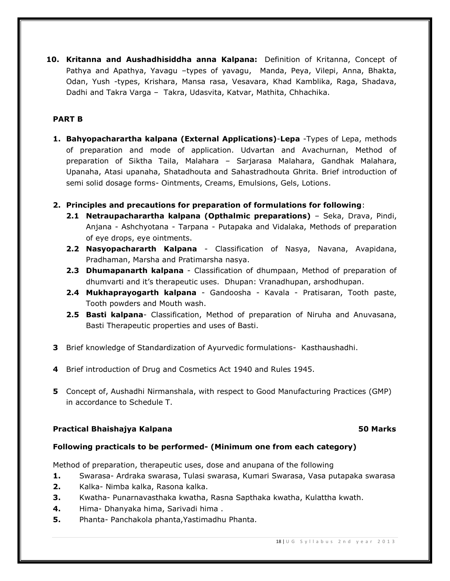**10. Kritanna and Aushadhisiddha anna Kalpana:** Definition of Kritanna, Concept of Pathya and Apathya, Yavagu –types of yavagu, Manda, Peya, Vilepi, Anna, Bhakta, Odan, Yush -types, Krishara, Mansa rasa, Vesavara, Khad Kamblika, Raga, Shadava, Dadhi and Takra Varga – Takra, Udasvita, Katvar, Mathita, Chhachika.

### **PART B**

- **1. Bahyopacharartha kalpana (External Applications)**-**Lepa** -Types of Lepa, methods of preparation and mode of application. Udvartan and Avachurnan, Method of preparation of Siktha Taila, Malahara – Sarjarasa Malahara, Gandhak Malahara, Upanaha, Atasi upanaha, Shatadhouta and Sahastradhouta Ghrita. Brief introduction of semi solid dosage forms- Ointments, Creams, Emulsions, Gels, Lotions.
- **2. Principles and precautions for preparation of formulations for following**:
	- **2.1 Netraupacharartha kalpana (Opthalmic preparations)** Seka, Drava, Pindi, Anjana - Ashchyotana - Tarpana - Putapaka and Vidalaka, Methods of preparation of eye drops, eye ointments.
	- **2.2 Nasyopachararth Kalpana** Classification of Nasya, Navana, Avapidana, Pradhaman, Marsha and Pratimarsha nasya.
	- **2.3 Dhumapanarth kalpana**  Classification of dhumpaan, Method of preparation of dhumvarti and it's therapeutic uses. Dhupan: Vranadhupan, arshodhupan.
	- **2.4 Mukhaprayogarth kalpana** Gandoosha Kavala Pratisaran, Tooth paste, Tooth powders and Mouth wash.
	- **2.5 Basti kalpana** Classification, Method of preparation of Niruha and Anuvasana, Basti Therapeutic properties and uses of Basti.
- **3** Brief knowledge of Standardization of Ayurvedic formulations- Kasthaushadhi.
- **4** Brief introduction of Drug and Cosmetics Act 1940 and Rules 1945.
- **5** Concept of, Aushadhi Nirmanshala, with respect to Good Manufacturing Practices (GMP) in accordance to Schedule T.

### **Practical Bhaishajya Kalpana 50 Marks**

# **Following practicals to be performed- (Minimum one from each category)**

Method of preparation, therapeutic uses, dose and anupana of the following

- **1.** Swarasa- Ardraka swarasa, Tulasi swarasa, Kumari Swarasa, Vasa putapaka swarasa
- **2.** Kalka- Nimba kalka, Rasona kalka.
- **3.** Kwatha- Punarnavasthaka kwatha, Rasna Sapthaka kwatha, Kulattha kwath.
- **4.** Hima- Dhanyaka hima, Sarivadi hima .
- **5.** Phanta- Panchakola phanta,Yastimadhu Phanta.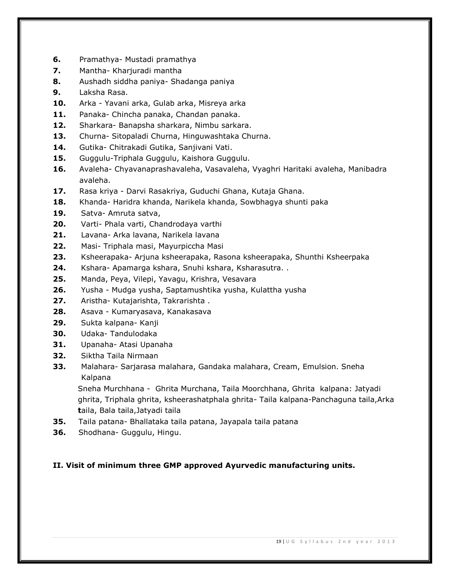- **6.** Pramathya- Mustadi pramathya
- **7.** Mantha- Kharjuradi mantha
- **8.** Aushadh siddha paniya- Shadanga paniya
- **9.** Laksha Rasa.
- **10.** Arka Yavani arka, Gulab arka, Misreya arka
- **11.** Panaka- Chincha panaka, Chandan panaka.
- **12.** Sharkara- Banapsha sharkara, Nimbu sarkara.
- **13.** Churna- Sitopaladi Churna, Hinguwashtaka Churna.
- **14.** Gutika- Chitrakadi Gutika, Sanjivani Vati.
- **15.** Guggulu-Triphala Guggulu, Kaishora Guggulu.
- **16.** Avaleha- Chyavanaprashavaleha, Vasavaleha, Vyaghri Haritaki avaleha, Manibadra avaleha.
- **17.** Rasa kriya Darvi Rasakriya, Guduchi Ghana, Kutaja Ghana.
- **18.** Khanda- Haridra khanda, Narikela khanda, Sowbhagya shunti paka
- **19.** Satva- Amruta satva,
- **20.** Varti- Phala varti, Chandrodaya varthi
- **21.** Lavana- Arka lavana, Narikela lavana
- **22.** Masi- Triphala masi, Mayurpiccha Masi
- **23.** Ksheerapaka- Arjuna ksheerapaka, Rasona ksheerapaka, Shunthi Ksheerpaka
- **24.** Kshara- Apamarga kshara, Snuhi kshara, Ksharasutra. .
- **25.** Manda, Peya, Vilepi, Yavagu, Krishra, Vesavara
- **26.** Yusha Mudga yusha, Saptamushtika yusha, Kulattha yusha
- **27.** Aristha- Kutajarishta, Takrarishta .
- **28.** Asava Kumaryasava, Kanakasava
- **29.** Sukta kalpana- Kanji
- **30.** Udaka- Tandulodaka
- **31.** Upanaha- Atasi Upanaha
- **32.** Siktha Taila Nirmaan
- **33.** Malahara- Sarjarasa malahara, Gandaka malahara, Cream, Emulsion. Sneha Kalpana

Sneha Murchhana - Ghrita Murchana, Taila Moorchhana, Ghrita kalpana: Jatyadi ghrita, Triphala ghrita, ksheerashatphala ghrita- Taila kalpana-Panchaguna taila,Arka  **t**aila, Bala taila,Jatyadi taila

- **35.** Taila patana- Bhallataka taila patana, Jayapala taila patana
- **36.** Shodhana- Guggulu, Hingu.

# **II. Visit of minimum three GMP approved Ayurvedic manufacturing units.**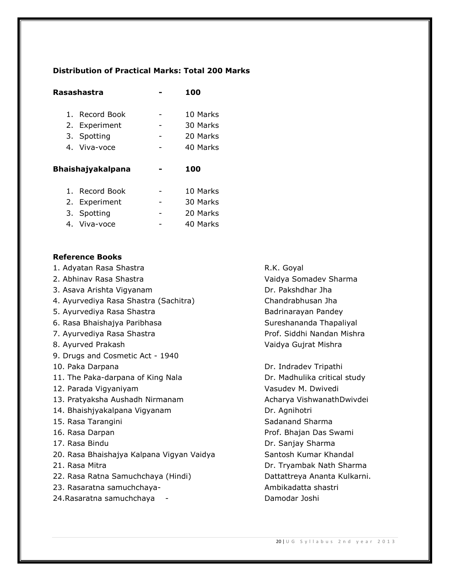## **Distribution of Practical Marks: Total 200 Marks**

| Rasashastra    | 100      |
|----------------|----------|
| 1. Record Book | 10 Marks |
| 2. Experiment  | 30 Marks |
| 3. Spotting    | 20 Marks |
| 4. Viva-voce   | 40 Marks |
|                |          |
|                |          |

# **Bhaishajyakalpana - 100**

| 1. Record Book | 10 Marks |
|----------------|----------|
| 2. Experiment  | 30 Marks |
| 3. Spotting    | 20 Marks |
| 4. Viva-voce   | 40 Marks |

### **Reference Books**

1. Adyatan Rasa Shastra **R.K. Goyal** 

- 
- 3. Asava Arishta Vigyanam Dr. Pakshdhar Jha
- 4. Ayurvediya Rasa Shastra (Sachitra) Chandrabhusan Jha
- 5. Ayurvediya Rasa Shastra **Badrinarayan Pandey**
- 6. Rasa Bhaishajya Paribhasa Sureshananda Thapaliyal
- 7. Ayurvediya Rasa Shastra Prof. Siddhi Nandan Mishra
- 
- 9. Drugs and Cosmetic Act 1940
- 
- 11. The Paka-darpana of King Nala Dr. Madhulika critical study
- 
- 13. Pratyaksha Aushadh Nirmanam Acharya VishwanathDwivdei
- 14. Bhaishjyakalpana Vigyanam Dr. Agnihotri
- 
- 
- 
- 20. Rasa Bhaishajya Kalpana Vigyan Vaidya Santosh Kumar Khandal
- 
- 22. Rasa Ratna Samuchchaya (Hindi) Dattattreya Ananta Kulkarni.
- 23. Rasaratna samuchchaya- Ambikadatta shastri
- 24.Rasaratna samuchchaya Damodar Joshi

2. Abhinav Rasa Shastra Vaidya Somadev Sharma 8. Ayurved Prakash Vaidya Gujrat Mishra

10. Paka Darpana Dr. Indradev Tripathi 12. Parada Vigyaniyam Vasudev M. Dwivedi 15. Rasa Tarangini Sadanand Sharma Sadanand Sharma 16. Rasa Darpan Prof. Bhajan Das Swami 17. Rasa Bindu **Dr. Sanjay Sharma** 21. Rasa Mitra Dr. Tryambak Nath Sharma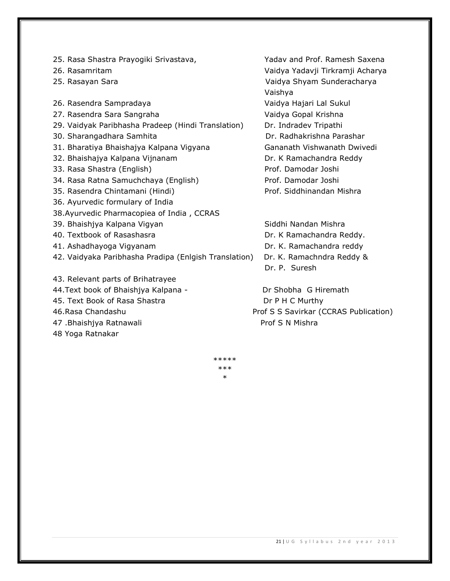- 25. Rasa Shastra Prayogiki Srivastava, Yadav and Prof. Ramesh Saxena
- 
- 
- 26. Rasendra Sampradaya Vaidya Hajari Lal Sukul
- 27. Rasendra Sara Sangraha Vaidya Gopal Krishna
- 29. Vaidyak Paribhasha Pradeep (Hindi Translation) Dr. Indradev Tripathi
- 
- 31. Bharatiya Bhaishajya Kalpana Vigyana Gananath Vishwanath Dwivedi
- 32. Bhaishajya Kalpana Vijnanam Dr. K Ramachandra Reddy
- 33. Rasa Shastra (English) Prof. Damodar Joshi
- 34. Rasa Ratna Samuchchaya (English) Prof. Damodar Joshi
- 
- 36. Ayurvedic formulary of India
- 38.Ayurvedic Pharmacopiea of India , CCRAS
- 39. Bhaishiya Kalpana Vigyan Siddhi Nandan Mishra
- 
- 
- 42. Vaidyaka Paribhasha Pradipa (Enlgish Translation) Dr. K. Ramachndra Reddy &
- 43. Relevant parts of Brihatrayee
- 44.Text book of Bhaishjya Kalpana The Content of Shobha G Hiremath
- 45. Text Book of Rasa Shastra **Dr P H C Murthy**
- 
- 47 .Bhaishjya Ratnawali **Prof S N Mishra** Prof S N Mishra
- 48 Yoga Ratnakar

26. Rasamritam Vaidya Yadavji Tirkramji Acharya 25. Rasayan Sara Vaidya Shyam Sunderacharya Vaishya 30. Sharangadhara Samhita **Dr. Radhakrishna Parashar** 35. Rasendra Chintamani (Hindi) Prof. Siddhinandan Mishra

40. Textbook of Rasashasra **Dr. K Ramachandra Reddy.** Dr. K Ramachandra Reddy. 41. Ashadhayoga Vigyanam Dr. K. Ramachandra reddy Dr. P. Suresh

46.Rasa Chandashu Prof S S Savirkar (CCRAS Publication)

\*\*\*\*\* \*\*\* \*